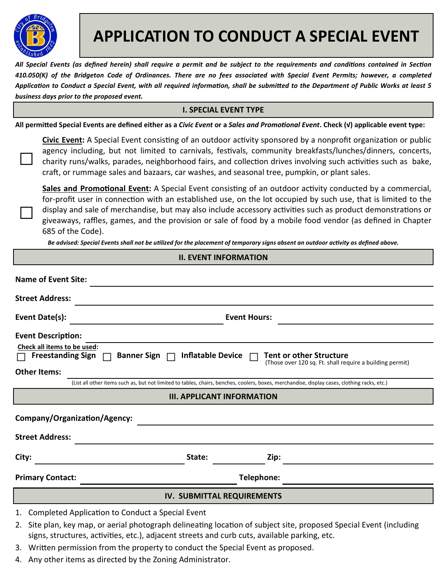

 $\Box$ 

□

# **APPLICATION TO CONDUCT A SPECIAL EVENT**

All Special Events (as defined herein) shall require a permit and be subject to the requirements and conditions contained in Section *410.050(K) of the Bridgeton Code of Ordinances. There are no fees associated with Special Event Permits; however, a completed*  Application to Conduct a Special Event, with all required information, shall be submitted to the Department of Public Works at least 5 *business days prior to the proposed event.*

## **I. SPECIAL EVENT TYPE**

All permitted Special Events are defined either as a *Civic Event* or a *Sales and Promotional Event*. Check (√) applicable event type:

**Civic Event:** A Special Event consisting of an outdoor activity sponsored by a nonprofit organization or public agency including, but not limited to carnivals, festivals, community breakfasts/lunches/dinners, concerts, charity runs/walks, parades, neighborhood fairs, and collection drives involving such activities such as bake, craft, or rummage sales and bazaars, car washes, and seasonal tree, pumpkin, or plant sales.

**Sales and Promotional Event:** A Special Event consisting of an outdoor activity conducted by a commercial, for-profit user in connection with an established use, on the lot occupied by such use, that is limited to the display and sale of merchandise, but may also include accessory activities such as product demonstrations or giveaways, raffles, games, and the provision or sale of food by a mobile food vendor (as defined in Chapter 685 of the Code).

Be advised: Special Events shall not be utilized for the placement of temporary signs absent an outdoor activity as defined above.

## **II. EVENT INFORMATION**

| <b>Name of Event Site:</b>                                                                                                                   |                                 |                                                                                            |  |
|----------------------------------------------------------------------------------------------------------------------------------------------|---------------------------------|--------------------------------------------------------------------------------------------|--|
| <b>Street Address:</b>                                                                                                                       |                                 |                                                                                            |  |
| Event Date(s):                                                                                                                               |                                 | <b>Event Hours:</b>                                                                        |  |
| <b>Event Description:</b>                                                                                                                    |                                 |                                                                                            |  |
| Check all items to be used:<br><b>Freestanding Sign</b>                                                                                      | Banner Sign   Inflatable Device | <b>Tent or other Structure</b><br>(Those over 120 sq. Ft. shall require a building permit) |  |
| <b>Other Items:</b>                                                                                                                          |                                 |                                                                                            |  |
| (List all other items such as, but not limited to tables, chairs, benches, coolers, boxes, merchandise, display cases, clothing racks, etc.) |                                 |                                                                                            |  |
| <b>III. APPLICANT INFORMATION</b>                                                                                                            |                                 |                                                                                            |  |
| Company/Organization/Agency:                                                                                                                 |                                 |                                                                                            |  |
| <b>Street Address:</b>                                                                                                                       |                                 |                                                                                            |  |
| City:                                                                                                                                        | State:                          | Zip:                                                                                       |  |
| <b>Primary Contact:</b>                                                                                                                      |                                 | Telephone:                                                                                 |  |
| <b>IV. SUBMITTAL REQUIREMENTS</b>                                                                                                            |                                 |                                                                                            |  |
| 1. Completed Application to Conduct a Special Event                                                                                          |                                 |                                                                                            |  |

- 2. Site plan, key map, or aerial photograph delineating location of subject site, proposed Special Event (including signs, structures, activities, etc.), adjacent streets and curb cuts, available parking, etc.
- 3. Written permission from the property to conduct the Special Event as proposed.
- 4. Any other items as directed by the Zoning Administrator.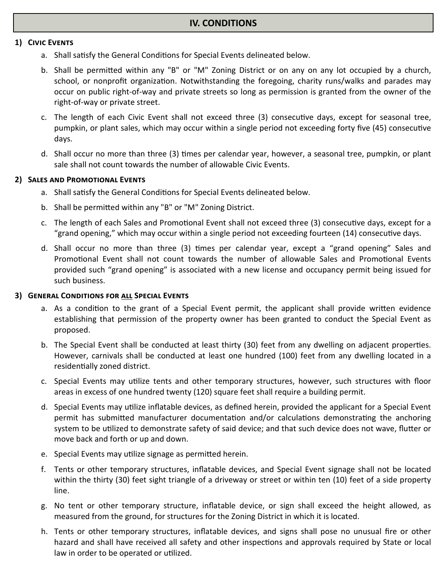#### **1) CIVIC EVENTS**

- a. Shall satisfy the General Conditions for Special Events delineated below.
- b. Shall be permitted within any "B" or "M" Zoning District or on any on any lot occupied by a church, school, or nonprofit organization. Notwithstanding the foregoing, charity runs/walks and parades may occur on public right-of-way and private streets so long as permission is granted from the owner of the right-of-way or private street.
- c. The length of each Civic Event shall not exceed three (3) consecutive days, except for seasonal tree, pumpkin, or plant sales, which may occur within a single period not exceeding forty five (45) consecutive days.
- d. Shall occur no more than three (3) times per calendar year, however, a seasonal tree, pumpkin, or plant sale shall not count towards the number of allowable Civic Events.

### **2) SALES AND PROMOTIONAL EVENTS**

- a. Shall satisfy the General Conditions for Special Events delineated below.
- b. Shall be permitted within any "B" or "M" Zoning District.
- c. The length of each Sales and Promotional Event shall not exceed three (3) consecutive days, except for a "grand opening," which may occur within a single period not exceeding fourteen (14) consecutive days.
- d. Shall occur no more than three (3) times per calendar year, except a "grand opening" Sales and Promotional Event shall not count towards the number of allowable Sales and Promotional Events provided such "grand opening" is associated with a new license and occupancy permit being issued for such business.

#### **3) GENERAL CONDITIONS FOR ALL SPECIAL EVENTS**

- a. As a condition to the grant of a Special Event permit, the applicant shall provide written evidence establishing that permission of the property owner has been granted to conduct the Special Event as proposed.
- b. The Special Event shall be conducted at least thirty (30) feet from any dwelling on adjacent properties. However, carnivals shall be conducted at least one hundred (100) feet from any dwelling located in a residentially zoned district.
- c. Special Events may utilize tents and other temporary structures, however, such structures with floor areas in excess of one hundred twenty (120) square feet shall require a building permit.
- d. Special Events may utilize inflatable devices, as defined herein, provided the applicant for a Special Event permit has submitted manufacturer documentation and/or calculations demonstrating the anchoring system to be utilized to demonstrate safety of said device; and that such device does not wave, flutter or move back and forth or up and down.
- e. Special Events may utilize signage as permitted herein.
- f. Tents or other temporary structures, inflatable devices, and Special Event signage shall not be located within the thirty (30) feet sight triangle of a driveway or street or within ten (10) feet of a side property line.
- g. No tent or other temporary structure, inflatable device, or sign shall exceed the height allowed, as measured from the ground, for structures for the Zoning District in which it is located.
- h. Tents or other temporary structures, inflatable devices, and signs shall pose no unusual fire or other hazard and shall have received all safety and other inspections and approvals required by State or local law in order to be operated or utilized.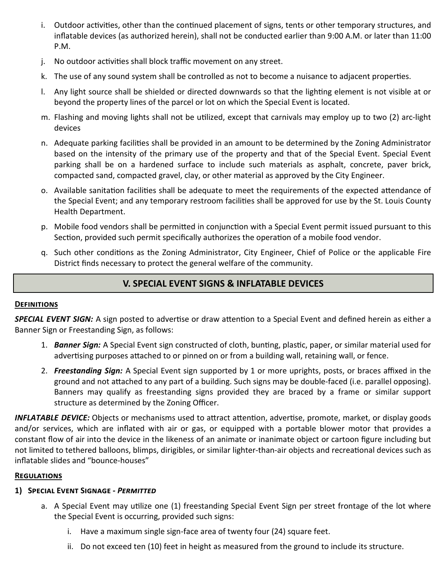- i. Outdoor activities, other than the continued placement of signs, tents or other temporary structures, and inflatable devices (as authorized herein), shall not be conducted earlier than 9:00 A.M. or later than 11:00 P.M.
- j. No outdoor activities shall block traffic movement on any street.
- k. The use of any sound system shall be controlled as not to become a nuisance to adjacent properties.
- l. Any light source shall be shielded or directed downwards so that the lighting element is not visible at or beyond the property lines of the parcel or lot on which the Special Event is located.
- m. Flashing and moving lights shall not be utilized, except that carnivals may employ up to two (2) arc-light devices
- n. Adequate parking facilities shall be provided in an amount to be determined by the Zoning Administrator based on the intensity of the primary use of the property and that of the Special Event. Special Event parking shall be on a hardened surface to include such materials as asphalt, concrete, paver brick, compacted sand, compacted gravel, clay, or other material as approved by the City Engineer.
- o. Available sanitation facilities shall be adequate to meet the requirements of the expected attendance of the Special Event; and any temporary restroom facilities shall be approved for use by the St. Louis County Health Department.
- p. Mobile food vendors shall be permitted in conjunction with a Special Event permit issued pursuant to this Section, provided such permit specifically authorizes the operation of a mobile food vendor.
- q. Such other conditions as the Zoning Administrator, City Engineer, Chief of Police or the applicable Fire District finds necessary to protect the general welfare of the community.

# **V. SPECIAL EVENT SIGNS & INFLATABLE DEVICES**

## **DEFINITIONS**

**SPECIAL EVENT SIGN:** A sign posted to advertise or draw attention to a Special Event and defined herein as either a Banner Sign or Freestanding Sign, as follows:

- 1. *Banner Sign:* A Special Event sign constructed of cloth, bunting, plastic, paper, or similar material used for advertising purposes attached to or pinned on or from a building wall, retaining wall, or fence.
- 2. *Freestanding Sign:* A Special Event sign supported by 1 or more uprights, posts, or braces affixed in the ground and not attached to any part of a building. Such signs may be double-faced (i.e. parallel opposing). Banners may qualify as freestanding signs provided they are braced by a frame or similar support structure as determined by the Zoning Officer.

*INFLATABLE DEVICE:* Objects or mechanisms used to attract attention, advertise, promote, market, or display goods and/or services, which are inflated with air or gas, or equipped with a portable blower motor that provides a constant flow of air into the device in the likeness of an animate or inanimate object or cartoon figure including but not limited to tethered balloons, blimps, dirigibles, or similar lighter-than-air objects and recreational devices such as inflatable slides and "bounce-houses"

## **REGULATIONS**

## 1) SPECIAL EVENT SIGNAGE - **PERMITTED**

- a. A Special Event may utilize one (1) freestanding Special Event Sign per street frontage of the lot where the Special Event is occurring, provided such signs:
	- i. Have a maximum single sign-face area of twenty four (24) square feet.
	- ii. Do not exceed ten (10) feet in height as measured from the ground to include its structure.